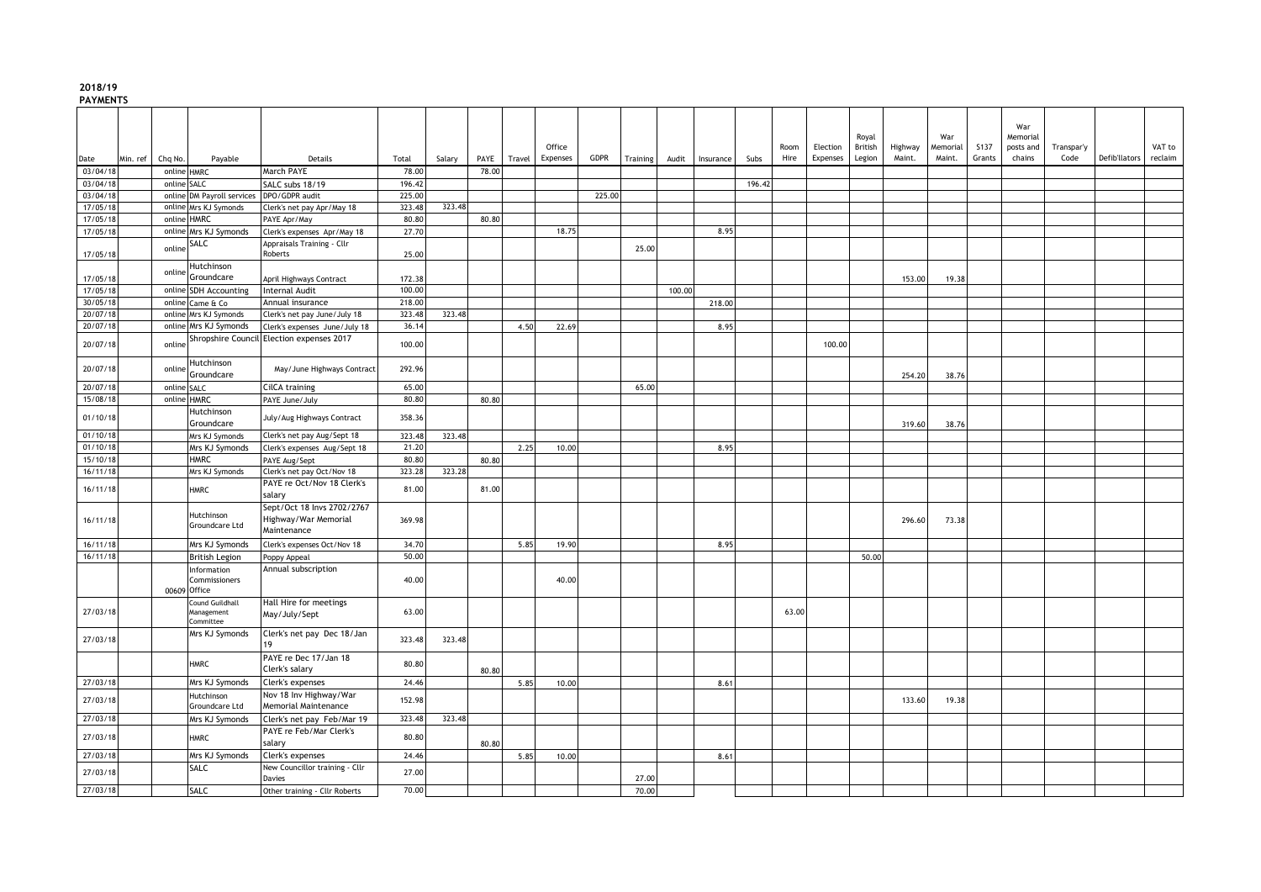## **2018/19**

**PAYMENTS**

|                      |          |             |                                                     |                                                                   |                  |        |       |        | Office   |        |          |        |           |        | Room  | Election | Royal<br>British | Highway | War<br>Memorial | <b>S137</b> | War<br>Memorial<br>posts and | Transpar'y |               | VAT to  |
|----------------------|----------|-------------|-----------------------------------------------------|-------------------------------------------------------------------|------------------|--------|-------|--------|----------|--------|----------|--------|-----------|--------|-------|----------|------------------|---------|-----------------|-------------|------------------------------|------------|---------------|---------|
| Date                 | Min. ref | Chg No.     | Payable                                             | Details                                                           | Total            | Salary | PAYE  | Travel | Expenses | GDPR   | Training | Audit  | Insurance | Subs   | Hire  | Expenses | Legion           | Maint.  | Maint.          | Grants      | chains                       | Code       | Defib'llators | reclaim |
| 03/04/18             |          | online HMRC |                                                     | March PAYE                                                        | 78.00            |        | 78.00 |        |          |        |          |        |           |        |       |          |                  |         |                 |             |                              |            |               |         |
| 03/04/18<br>03/04/18 |          | online SALC |                                                     | SALC subs 18/19<br>DPO/GDPR audit                                 | 196.42<br>225.00 |        |       |        |          | 225.00 |          |        |           | 196.42 |       |          |                  |         |                 |             |                              |            |               |         |
| 17/05/18             |          |             | online DM Payroll services<br>online Mrs KJ Symonds | Clerk's net pay Apr/May 18                                        | 323.48           | 323.48 |       |        |          |        |          |        |           |        |       |          |                  |         |                 |             |                              |            |               |         |
| 17/05/18             |          | online HMRC |                                                     | PAYE Apr/May                                                      | 80.80            |        | 80.80 |        |          |        |          |        |           |        |       |          |                  |         |                 |             |                              |            |               |         |
| 17/05/18             |          |             | online Mrs KJ Symonds                               | Clerk's expenses Apr/May 18                                       | 27.70            |        |       |        | 18.75    |        |          |        | 8.95      |        |       |          |                  |         |                 |             |                              |            |               |         |
|                      |          |             | SALC                                                | Appraisals Training - Cllr                                        |                  |        |       |        |          |        |          |        |           |        |       |          |                  |         |                 |             |                              |            |               |         |
| 17/05/18             |          | online      |                                                     | Roberts                                                           | 25.00            |        |       |        |          |        | 25.00    |        |           |        |       |          |                  |         |                 |             |                              |            |               |         |
|                      |          | online      | Hutchinson                                          |                                                                   |                  |        |       |        |          |        |          |        |           |        |       |          |                  |         |                 |             |                              |            |               |         |
| 17/05/18             |          |             | Groundcare                                          | April Highways Contract                                           | 172.38           |        |       |        |          |        |          |        |           |        |       |          |                  | 153.00  | 19.38           |             |                              |            |               |         |
| 17/05/18             |          |             | online SDH Accounting                               | <b>Internal Audit</b>                                             | 100.00           |        |       |        |          |        |          | 100.00 |           |        |       |          |                  |         |                 |             |                              |            |               |         |
| 30/05/18             |          |             | online Came & Co                                    | Annual insurance                                                  | 218.00           |        |       |        |          |        |          |        | 218.00    |        |       |          |                  |         |                 |             |                              |            |               |         |
| 20/07/18             |          |             | online Mrs KJ Symonds                               | Clerk's net pay June/July 18                                      | 323.48           | 323.48 |       |        |          |        |          |        |           |        |       |          |                  |         |                 |             |                              |            |               |         |
| 20/07/18             |          |             | online Mrs KJ Symonds                               | Clerk's expenses June/July 18                                     | 36.14            |        |       | 4.50   | 22.69    |        |          |        | 8.95      |        |       |          |                  |         |                 |             |                              |            |               |         |
| 20/07/18             |          | online      | Shropshire Council                                  | Election expenses 2017                                            | 100.00           |        |       |        |          |        |          |        |           |        |       | 100.00   |                  |         |                 |             |                              |            |               |         |
| 20/07/18             |          | online      | Hutchinson<br>Groundcare                            | May/June Highways Contract                                        | 292.96           |        |       |        |          |        |          |        |           |        |       |          |                  | 254.20  | 38.76           |             |                              |            |               |         |
| 20/07/18             |          | online SALC |                                                     | CilCA training                                                    | 65.00            |        |       |        |          |        | 65.00    |        |           |        |       |          |                  |         |                 |             |                              |            |               |         |
| 15/08/18             |          | online HMRC |                                                     | PAYE June/July                                                    | 80.80            |        | 80.80 |        |          |        |          |        |           |        |       |          |                  |         |                 |             |                              |            |               |         |
| 01/10/18             |          |             | Hutchinson<br>Groundcare                            | July/Aug Highways Contract                                        | 358.36           |        |       |        |          |        |          |        |           |        |       |          |                  | 319.60  | 38.76           |             |                              |            |               |         |
| 01/10/18             |          |             | Mrs KJ Symonds                                      | Clerk's net pay Aug/Sept 18                                       | 323.48           | 323.48 |       |        |          |        |          |        |           |        |       |          |                  |         |                 |             |                              |            |               |         |
| 01/10/18             |          |             | Mrs KJ Symonds                                      | Clerk's expenses Aug/Sept 18                                      | 21.20            |        |       | 2.25   | 10.00    |        |          |        | 8.95      |        |       |          |                  |         |                 |             |                              |            |               |         |
| 15/10/18             |          |             | <b>HMRC</b>                                         | PAYE Aug/Sept                                                     | 80.80            |        | 80.80 |        |          |        |          |        |           |        |       |          |                  |         |                 |             |                              |            |               |         |
| 16/11/18             |          |             | Mrs KJ Symonds                                      | Clerk's net pay Oct/Nov 18                                        | 323.28           | 323.28 |       |        |          |        |          |        |           |        |       |          |                  |         |                 |             |                              |            |               |         |
| 16/11/18             |          |             | <b>HMRC</b>                                         | PAYE re Oct/Nov 18 Clerk's<br>salary                              | 81.00            |        | 81.00 |        |          |        |          |        |           |        |       |          |                  |         |                 |             |                              |            |               |         |
| 16/11/18             |          |             | Hutchinson<br>Groundcare Ltd                        | Sept/Oct 18 Invs 2702/2767<br>Highway/War Memorial<br>Maintenance | 369.98           |        |       |        |          |        |          |        |           |        |       |          |                  | 296.60  | 73.38           |             |                              |            |               |         |
| 16/11/18             |          |             | Mrs KJ Symonds                                      | Clerk's expenses Oct/Nov 18                                       | 34.70            |        |       | 5.85   | 19.90    |        |          |        | 8.95      |        |       |          |                  |         |                 |             |                              |            |               |         |
| 16/11/18             |          |             | <b>British Legion</b>                               | Poppy Appeal                                                      | 50.00            |        |       |        |          |        |          |        |           |        |       |          | 50.00            |         |                 |             |                              |            |               |         |
|                      |          |             | Information<br>Commissioners<br>00609 Office        | Annual subscription                                               | 40.00            |        |       |        | 40.00    |        |          |        |           |        |       |          |                  |         |                 |             |                              |            |               |         |
| 27/03/18             |          |             | Cound Guildhall<br>Management<br>Committee          | Hall Hire for meetings<br>May/July/Sept                           | 63.00            |        |       |        |          |        |          |        |           |        | 63.00 |          |                  |         |                 |             |                              |            |               |         |
| 27/03/18             |          |             | Mrs KJ Symonds                                      | Clerk's net pay Dec 18/Jan<br>19                                  | 323.48           | 323.48 |       |        |          |        |          |        |           |        |       |          |                  |         |                 |             |                              |            |               |         |
|                      |          |             | <b>HMRC</b>                                         | PAYE re Dec 17/Jan 18<br>Clerk's salary                           | 80.80            |        | 80.80 |        |          |        |          |        |           |        |       |          |                  |         |                 |             |                              |            |               |         |
| 27/03/18             |          |             | Mrs KJ Symonds                                      | Clerk's expenses                                                  | 24.46            |        |       | 5.85   | 10.00    |        |          |        | 8.61      |        |       |          |                  |         |                 |             |                              |            |               |         |
| 27/03/18             |          |             | Hutchinson<br>Groundcare Ltd                        | Nov 18 Inv Highway/War<br>Memorial Maintenance                    | 152.98           |        |       |        |          |        |          |        |           |        |       |          |                  | 133.60  | 19.38           |             |                              |            |               |         |
| 27/03/18             |          |             | Mrs KJ Symonds                                      | Clerk's net pay Feb/Mar 19                                        | 323.48           | 323.48 |       |        |          |        |          |        |           |        |       |          |                  |         |                 |             |                              |            |               |         |
| 27/03/18             |          |             | <b>HMRC</b>                                         | PAYE re Feb/Mar Clerk's<br>salary                                 | 80.80            |        | 80.80 |        |          |        |          |        |           |        |       |          |                  |         |                 |             |                              |            |               |         |
| 27/03/18             |          |             | Mrs KJ Symonds                                      | Clerk's expenses                                                  | 24.46            |        |       | 5.85   | 10.00    |        |          |        | 8.61      |        |       |          |                  |         |                 |             |                              |            |               |         |
| 27/03/18             |          |             | SALC                                                | New Councillor training - Cllr<br>Davies                          | 27.00            |        |       |        |          |        | 27.00    |        |           |        |       |          |                  |         |                 |             |                              |            |               |         |
| 27/03/18             |          |             | <b>SALC</b>                                         | Other training - Cllr Roberts                                     | 70.00            |        |       |        |          |        | 70.00    |        |           |        |       |          |                  |         |                 |             |                              |            |               |         |